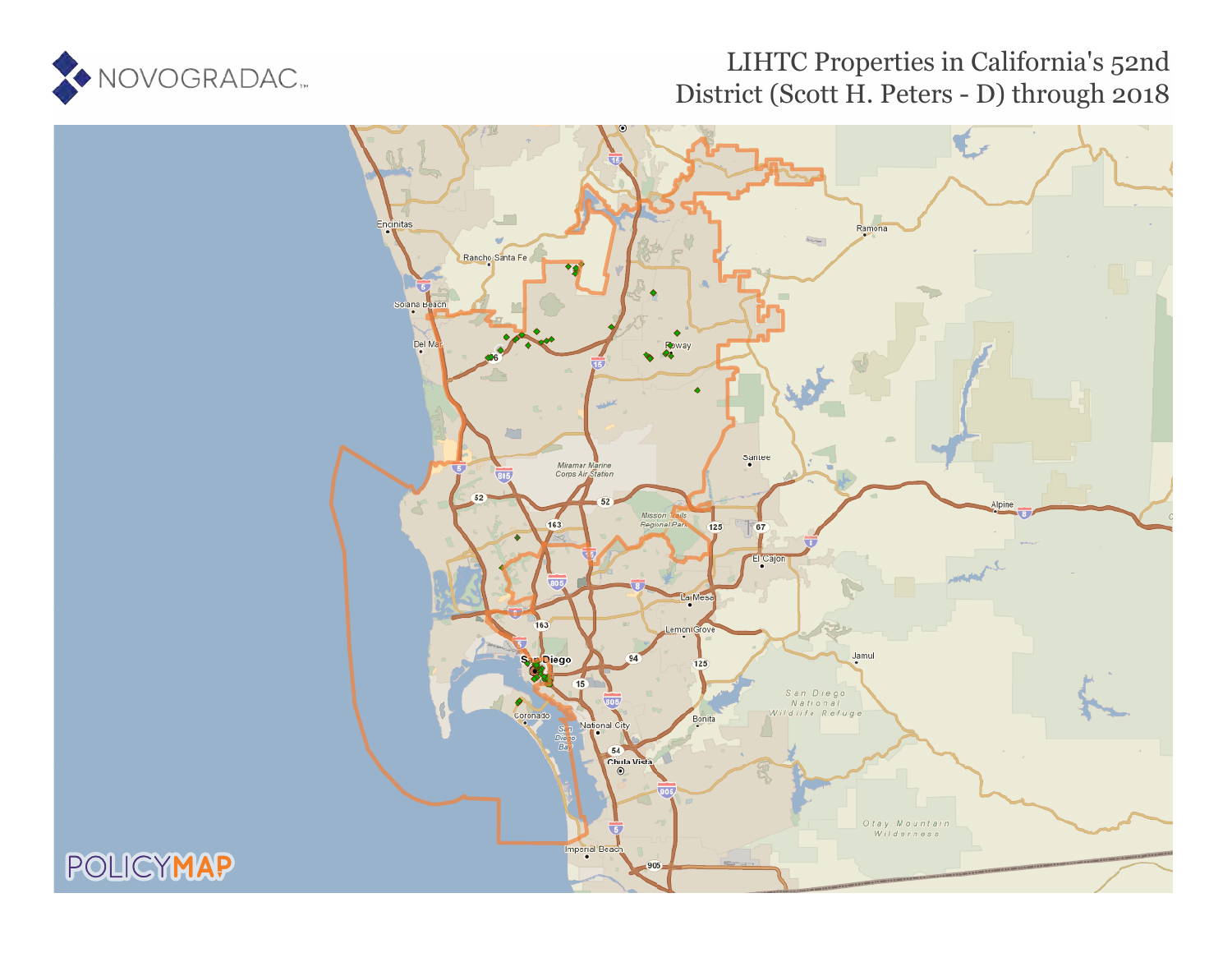

## LIHTC Properties in California's 52nd District (Scott H. Peters - D) through 2018

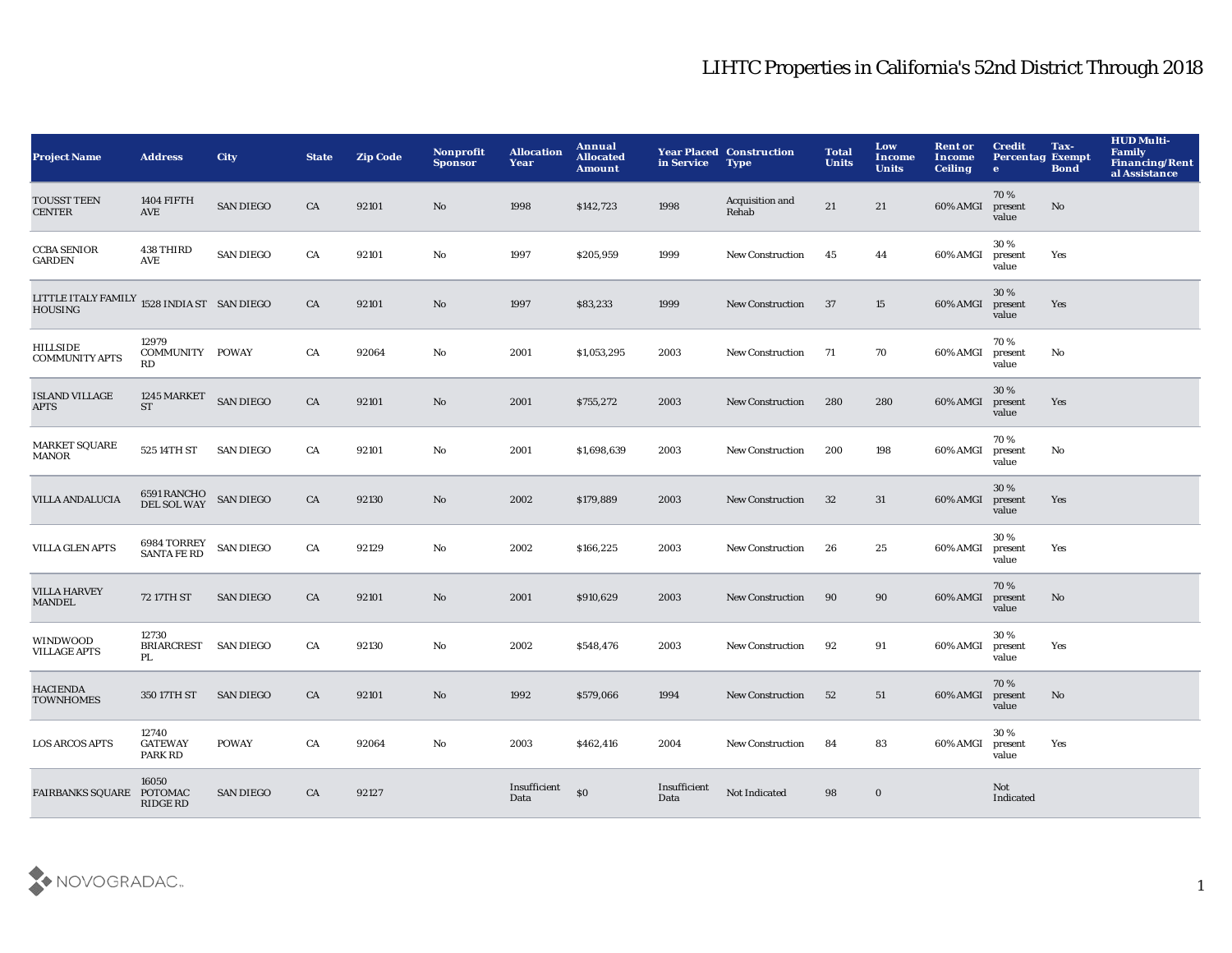| <b>Project Name</b>                                 | <b>Address</b>                     | <b>City</b>      | <b>State</b> | <b>Zip Code</b> | Nonprofit<br><b>Sponsor</b> | <b>Allocation</b><br>Year | Annual<br><b>Allocated</b><br><b>Amount</b> | in Service           | <b>Year Placed Construction</b><br><b>Type</b> | <b>Total</b><br><b>Units</b> | Low<br><b>Income</b><br><b>Units</b> | <b>Rent or</b><br><b>Income</b><br><b>Ceiling</b> | <b>Credit</b><br><b>Percentag Exempt</b><br>$\bullet$ | Tax-<br><b>Bond</b> | <b>HUD Multi-</b><br><b>Family</b><br><b>Financing/Rent</b><br>al Assistance |
|-----------------------------------------------------|------------------------------------|------------------|--------------|-----------------|-----------------------------|---------------------------|---------------------------------------------|----------------------|------------------------------------------------|------------------------------|--------------------------------------|---------------------------------------------------|-------------------------------------------------------|---------------------|------------------------------------------------------------------------------|
| <b>TOUSST TEEN</b><br><b>CENTER</b>                 | <b>1404 FIFTH</b><br>AVE           | <b>SAN DIEGO</b> | CA           | 92101           | No.                         | 1998                      | \$142,723                                   | 1998                 | Acquisition and<br>Rehab                       | 21                           | 21                                   | 60% AMGI                                          | 70%<br>present<br>value                               | No                  |                                                                              |
| <b>CCBA SENIOR</b><br><b>GARDEN</b>                 | 438 THIRD<br>AVE                   | <b>SAN DIEGO</b> | CA           | 92101           | No                          | 1997                      | \$205,959                                   | 1999                 | <b>New Construction</b>                        | 45                           | 44                                   | 60% AMGI                                          | 30%<br>present<br>value                               | Yes                 |                                                                              |
| LITTLE ITALY FAMILY 1528 INDIA ST SAN DIEGO HOUSING |                                    |                  | CA           | 92101           | No                          | 1997                      | \$83,233                                    | 1999                 | <b>New Construction</b>                        | 37                           | 15                                   | 60% AMGI                                          | 30 %<br>present<br>value                              | Yes                 |                                                                              |
| <b>HILLSIDE</b><br><b>COMMUNITY APTS</b>            | 12979<br>COMMUNITY POWAY<br>RD     |                  | CA           | 92064           | No                          | 2001                      | \$1,053,295                                 | 2003                 | <b>New Construction</b>                        | - 71                         | 70                                   | 60% AMGI                                          | 70%<br>present<br>value                               | No                  |                                                                              |
| <b>ISLAND VILLAGE</b><br><b>APTS</b>                | 1245 MARKET<br><b>ST</b>           | <b>SAN DIEGO</b> | CA           | 92101           | No                          | 2001                      | \$755,272                                   | 2003                 | <b>New Construction</b>                        | 280                          | 280                                  | 60% AMGI                                          | 30 %<br>present<br>value                              | Yes                 |                                                                              |
| <b>MARKET SQUARE</b><br><b>MANOR</b>                | 525 14TH ST                        | <b>SAN DIEGO</b> | CA           | 92101           | No                          | 2001                      | \$1,698,639                                 | 2003                 | <b>New Construction</b>                        | 200                          | 198                                  | 60% AMGI                                          | 70%<br>present<br>value                               | No                  |                                                                              |
| VILLA ANDALUCIA                                     | 6591 RANCHO<br>DEL SOL WAY         | <b>SAN DIEGO</b> | CA           | 92130           | No                          | 2002                      | \$179,889                                   | 2003                 | <b>New Construction</b>                        | 32                           | 31                                   | 60% AMGI                                          | 30 %<br>present<br>value                              | Yes                 |                                                                              |
| <b>VILLA GLEN APTS</b>                              | 6984 TORREY<br><b>SANTA FE RD</b>  | <b>SAN DIEGO</b> | CA           | 92129           | No                          | 2002                      | \$166,225                                   | 2003                 | <b>New Construction</b>                        | 26                           | 25                                   | 60% AMGI                                          | 30%<br>present<br>value                               | Yes                 |                                                                              |
| <b>VILLA HARVEY</b><br><b>MANDEL</b>                | 72 17TH ST                         | <b>SAN DIEGO</b> | CA           | 92101           | No                          | 2001                      | \$910,629                                   | 2003                 | <b>New Construction</b>                        | 90                           | 90                                   | 60% AMGI                                          | 70%<br>present<br>value                               | No                  |                                                                              |
| WINDWOOD<br><b>VILLAGE APTS</b>                     | 12730<br><b>BRIARCREST</b><br>PL.  | <b>SAN DIEGO</b> | CA           | 92130           | No                          | 2002                      | \$548,476                                   | 2003                 | <b>New Construction</b>                        | 92                           | 91                                   | 60% AMGI                                          | 30%<br>present<br>value                               | Yes                 |                                                                              |
| <b>HACIENDA</b><br><b>TOWNHOMES</b>                 | 350 17TH ST                        | <b>SAN DIEGO</b> | CA           | 92101           | No                          | 1992                      | \$579,066                                   | 1994                 | <b>New Construction</b>                        | 52                           | 51                                   | 60% AMGI                                          | 70%<br>present<br>value                               | No                  |                                                                              |
| <b>LOS ARCOS APTS</b>                               | 12740<br><b>GATEWAY</b><br>PARK RD | <b>POWAY</b>     | CA           | 92064           | No                          | 2003                      | \$462,416                                   | 2004                 | <b>New Construction</b>                        | 84                           | 83                                   | 60% AMGI                                          | 30%<br>present<br>value                               | Yes                 |                                                                              |
| FAIRBANKS SQUARE POTOMAC                            | 16050<br>RIDGE RD                  | <b>SAN DIEGO</b> | CA           | 92127           |                             | Insufficient<br>Data      | \$0                                         | Insufficient<br>Data | Not Indicated                                  | 98                           | $\bf{0}$                             |                                                   | Not<br>Indicated                                      |                     |                                                                              |

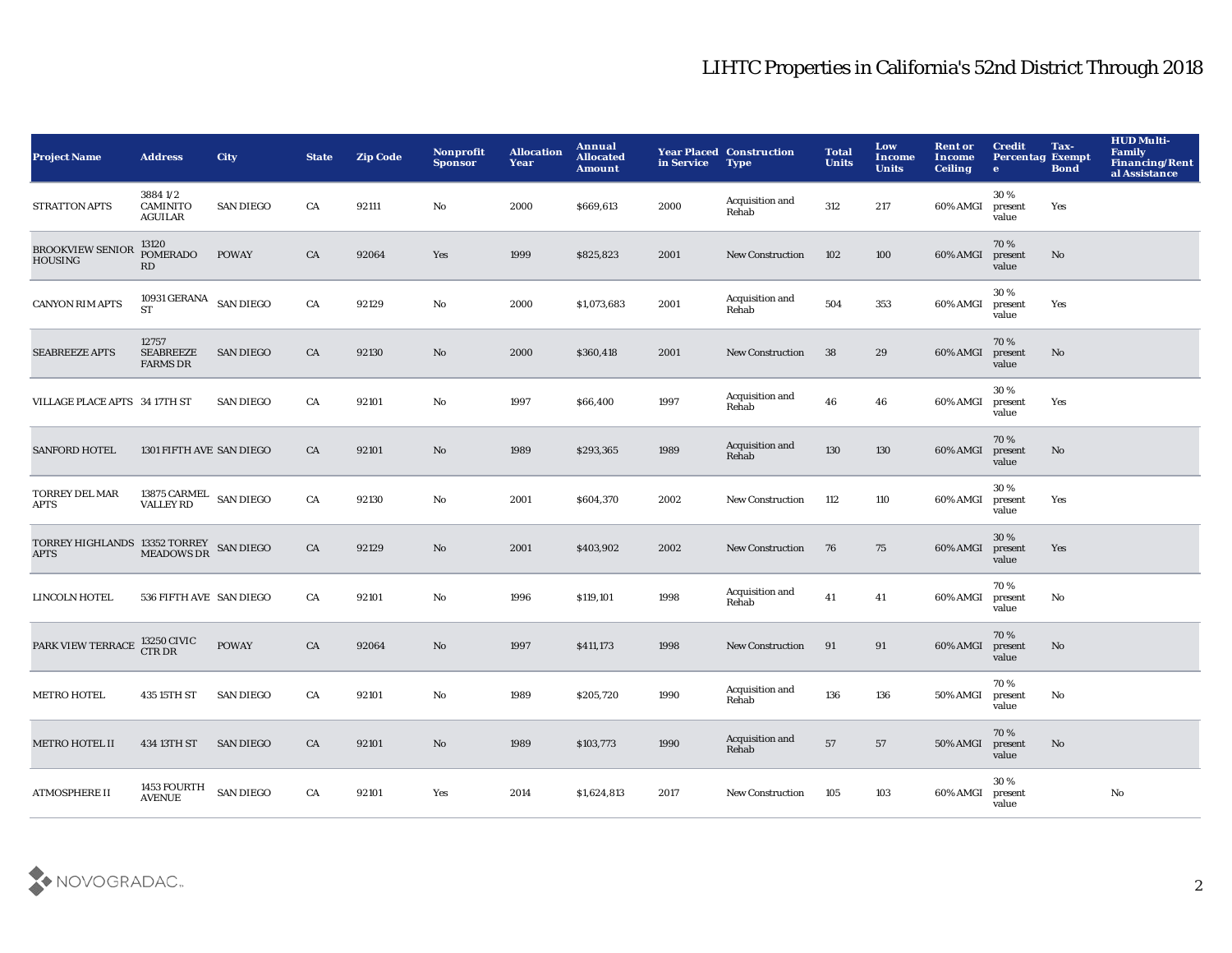| <b>Project Name</b>                                                                                                                | <b>Address</b>                               | <b>City</b>      | <b>State</b> | <b>Zip Code</b> | Nonprofit<br><b>Sponsor</b> | <b>Allocation</b><br>Year | Annual<br><b>Allocated</b><br><b>Amount</b> | in Service | <b>Year Placed Construction</b><br><b>Type</b> | <b>Total</b><br><b>Units</b> | Low<br><b>Income</b><br><b>Units</b> | <b>Rent or</b><br>Income<br><b>Ceiling</b> | <b>Credit</b><br><b>Percentag Exempt</b><br>$\bullet$ | Tax-<br><b>Bond</b> | <b>HUD Multi-</b><br>Family<br><b>Financing/Rent</b><br>al Assistance |
|------------------------------------------------------------------------------------------------------------------------------------|----------------------------------------------|------------------|--------------|-----------------|-----------------------------|---------------------------|---------------------------------------------|------------|------------------------------------------------|------------------------------|--------------------------------------|--------------------------------------------|-------------------------------------------------------|---------------------|-----------------------------------------------------------------------|
| <b>STRATTON APTS</b>                                                                                                               | 38841/2<br><b>CAMINITO</b><br><b>AGUILAR</b> | <b>SAN DIEGO</b> | CA           | 92111           | No                          | 2000                      | \$669,613                                   | 2000       | Acquisition and<br>Rehab                       | 312                          | 217                                  | 60% AMGI                                   | 30%<br>present<br>value                               | Yes                 |                                                                       |
| <b>BROOKVIEW SENIOR</b><br><b>HOUSING</b>                                                                                          | 13120<br><b>POMERADO</b><br>RD               | <b>POWAY</b>     | CA           | 92064           | Yes                         | 1999                      | \$825,823                                   | 2001       | <b>New Construction</b>                        | 102                          | 100                                  | 60% AMGI                                   | 70%<br>present<br>value                               | No                  |                                                                       |
| <b>CANYON RIM APTS</b>                                                                                                             | 10931 GERANA $\;$ SAN DIEGO<br><b>ST</b>     |                  | CA           | 92129           | $\mathbf{No}$               | 2000                      | \$1,073,683                                 | 2001       | Acquisition and<br>Rehab                       | 504                          | 353                                  | 60% AMGI                                   | 30%<br>present<br>value                               | Yes                 |                                                                       |
| <b>SEABREEZE APTS</b>                                                                                                              | 12757<br><b>SEABREEZE</b><br><b>FARMS DR</b> | <b>SAN DIEGO</b> | CA           | 92130           | No                          | 2000                      | \$360,418                                   | 2001       | <b>New Construction</b>                        | 38                           | 29                                   | 60% AMGI                                   | 70%<br>present<br>value                               | No                  |                                                                       |
| VILLAGE PLACE APTS 34 17TH ST                                                                                                      |                                              | <b>SAN DIEGO</b> | CA           | 92101           | $\mathbf {No}$              | 1997                      | \$66,400                                    | 1997       | Acquisition and<br>Rehab                       | 46                           | 46                                   | 60% AMGI                                   | 30%<br>present<br>value                               | Yes                 |                                                                       |
| <b>SANFORD HOTEL</b>                                                                                                               | 1301 FIFTH AVE SAN DIEGO                     |                  | CA           | 92101           | No                          | 1989                      | \$293,365                                   | 1989       | Acquisition and<br>Rehab                       | 130                          | 130                                  | 60% AMGI                                   | 70%<br>present<br>value                               | No                  |                                                                       |
| TORREY DEL MAR<br>APTS                                                                                                             | 13875 CARMEL SAN DIEGO<br>VALLEY RD          |                  | CA           | 92130           | No                          | 2001                      | \$604,370                                   | 2002       | <b>New Construction</b>                        | 112                          | 110                                  | 60% AMGI                                   | 30%<br>present<br>value                               | Yes                 |                                                                       |
| $\begin{array}{ll} \text{TORREY HIGHLANDS} & \text{13352 TORREY} \\ \text{AFTS} & \text{MEADOWS DR} \end{array} \text{ SAN DIEGO}$ |                                              |                  | CA           | 92129           | No                          | 2001                      | \$403,902                                   | 2002       | <b>New Construction</b>                        | 76                           | 75                                   | 60% AMGI                                   | 30%<br>present<br>value                               | Yes                 |                                                                       |
| <b>LINCOLN HOTEL</b>                                                                                                               | 536 FIFTH AVE SAN DIEGO                      |                  | CA           | 92101           | No                          | 1996                      | \$119,101                                   | 1998       | Acquisition and<br>Rehab                       | 41                           | 41                                   | 60% AMGI                                   | 70%<br>present<br>value                               | No                  |                                                                       |
| PARK VIEW TERRACE                                                                                                                  | <b>13250 CIVIC</b><br><b>CTRDR</b>           | <b>POWAY</b>     | CA           | 92064           | No                          | 1997                      | \$411,173                                   | 1998       | <b>New Construction</b>                        | 91                           | 91                                   | 60% AMGI                                   | 70%<br>present<br>value                               | No                  |                                                                       |
| <b>METRO HOTEL</b>                                                                                                                 | 435 15TH ST                                  | <b>SAN DIEGO</b> | CA           | 92101           | No                          | 1989                      | \$205,720                                   | 1990       | Acquisition and<br>Rehab                       | 136                          | 136                                  | <b>50% AMGI</b>                            | 70%<br>present<br>value                               | No                  |                                                                       |
| <b>METRO HOTEL II</b>                                                                                                              | 434 13TH ST                                  | <b>SAN DIEGO</b> | CA           | 92101           | No                          | 1989                      | \$103,773                                   | 1990       | Acquisition and<br>Rehab                       | 57                           | 57                                   | 50% AMGI                                   | 70%<br>present<br>value                               | No                  |                                                                       |
| <b>ATMOSPHERE II</b>                                                                                                               | 1453 FOURTH<br><b>AVENUE</b>                 | <b>SAN DIEGO</b> | CA           | 92101           | Yes                         | 2014                      | \$1,624,813                                 | 2017       | <b>New Construction</b>                        | 105                          | 103                                  | 60% AMGI                                   | 30%<br>present<br>value                               |                     | No                                                                    |

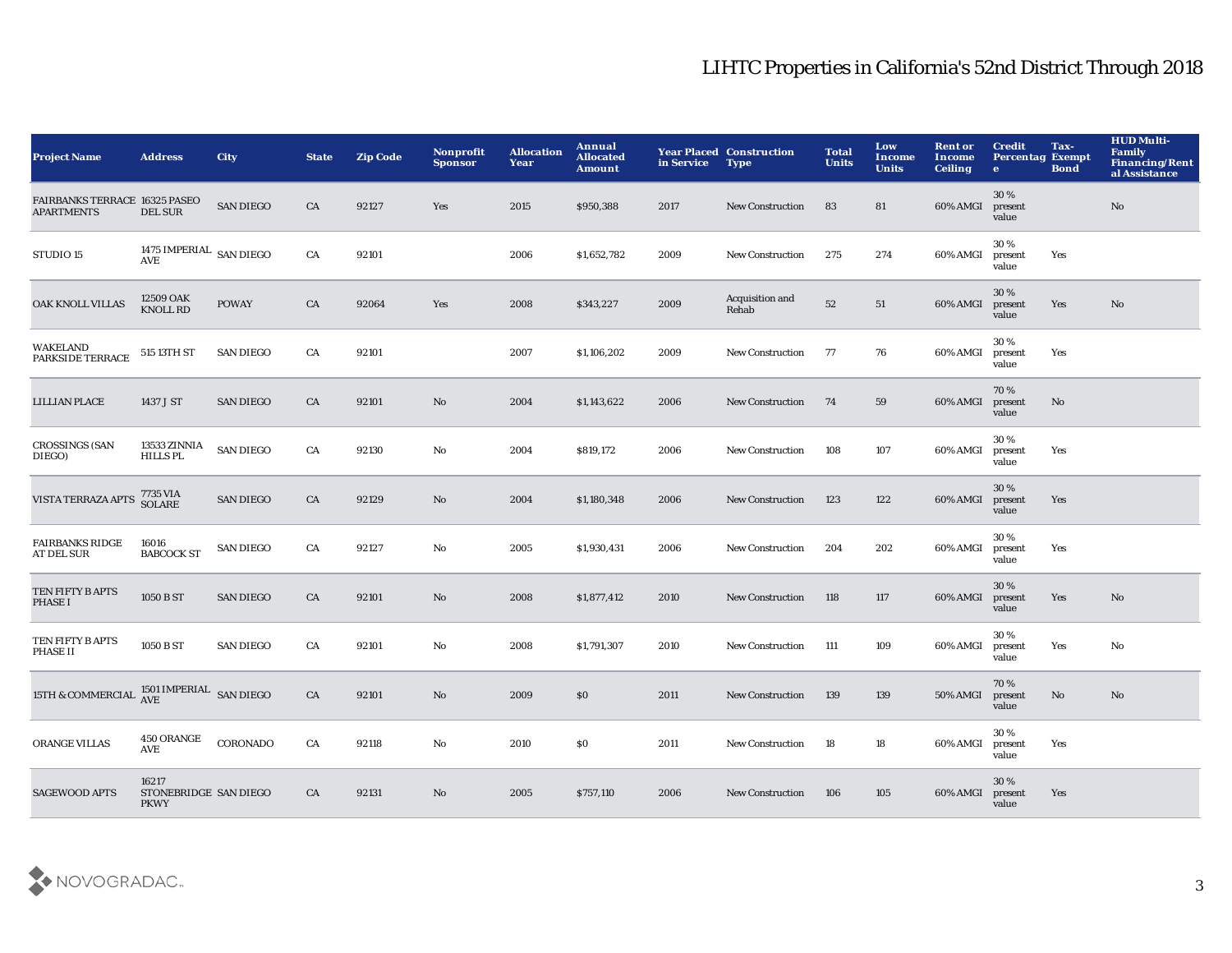| <b>Project Name</b>                                | <b>Address</b>                                | <b>City</b>      | <b>State</b> | <b>Zip Code</b> | Nonprofit<br><b>Sponsor</b> | <b>Allocation</b><br>Year | Annual<br><b>Allocated</b><br><b>Amount</b> | in Service | <b>Year Placed Construction</b><br><b>Type</b> | <b>Total</b><br><b>Units</b> | Low<br><b>Income</b><br><b>Units</b> | <b>Rent or</b><br>Income<br><b>Ceiling</b> | <b>Credit</b><br><b>Percentag Exempt</b><br>$\bullet$ | Tax-<br><b>Bond</b> | <b>HUD Multi-</b><br><b>Family</b><br><b>Financing/Rent</b><br>al Assistance |
|----------------------------------------------------|-----------------------------------------------|------------------|--------------|-----------------|-----------------------------|---------------------------|---------------------------------------------|------------|------------------------------------------------|------------------------------|--------------------------------------|--------------------------------------------|-------------------------------------------------------|---------------------|------------------------------------------------------------------------------|
| FAIRBANKS TERRACE 16325 PASEO<br><b>APARTMENTS</b> | <b>DEL SUR</b>                                | <b>SAN DIEGO</b> | CA           | 92127           | Yes                         | 2015                      | \$950,388                                   | 2017       | <b>New Construction</b>                        | 83                           | 81                                   | 60% AMGI                                   | 30%<br>present<br>value                               |                     | No                                                                           |
| STUDIO 15                                          | 1475 IMPERIAL SAN DIEGO<br>AVE                |                  | CA           | 92101           |                             | 2006                      | \$1,652,782                                 | 2009       | <b>New Construction</b>                        | 275                          | 274                                  | 60% AMGI                                   | 30%<br>present<br>value                               | Yes                 |                                                                              |
| OAK KNOLL VILLAS                                   | 12509 OAK<br><b>KNOLL RD</b>                  | <b>POWAY</b>     | CA           | 92064           | Yes                         | 2008                      | \$343,227                                   | 2009       | Acquisition and<br>Rehab                       | 52                           | 51                                   | 60% AMGI                                   | 30%<br>present<br>value                               | Yes                 | No                                                                           |
| <b>WAKELAND</b><br>PARKSIDE TERRACE                | 515 13TH ST                                   | <b>SAN DIEGO</b> | CA           | 92101           |                             | 2007                      | \$1,106,202                                 | 2009       | <b>New Construction</b>                        | 77                           | 76                                   | 60% AMGI                                   | 30%<br>present<br>value                               | Yes                 |                                                                              |
| <b>LILLIAN PLACE</b>                               | 1437 J ST                                     | <b>SAN DIEGO</b> | CA           | 92101           | No                          | 2004                      | \$1,143,622                                 | 2006       | <b>New Construction</b>                        | 74                           | 59                                   | 60% AMGI                                   | 70%<br>present<br>value                               | No                  |                                                                              |
| <b>CROSSINGS (SAN</b><br>DIEGO)                    | 13533 ZINNIA<br><b>HILLS PL</b>               | <b>SAN DIEGO</b> | CA           | 92130           | No                          | 2004                      | \$819,172                                   | 2006       | <b>New Construction</b>                        | 108                          | 107                                  | 60% AMGI                                   | 30%<br>present<br>value                               | Yes                 |                                                                              |
| VISTA TERRAZA APTS                                 | 7735 VIA<br>SOLARE                            | <b>SAN DIEGO</b> | CA           | 92129           | No                          | 2004                      | \$1,180,348                                 | 2006       | <b>New Construction</b>                        | 123                          | 122                                  | 60% AMGI                                   | 30 %<br>present<br>value                              | Yes                 |                                                                              |
| <b>FAIRBANKS RIDGE</b><br>AT DEL SUR               | 16016<br><b>BABCOCK ST</b>                    | <b>SAN DIEGO</b> | CA           | 92127           | No                          | 2005                      | \$1,930,431                                 | 2006       | <b>New Construction</b>                        | 204                          | 202                                  | 60% AMGI                                   | 30%<br>present<br>value                               | Yes                 |                                                                              |
| TEN FIFTY B APTS<br>PHASE I                        | 1050 B ST                                     | <b>SAN DIEGO</b> | CA           | 92101           | No                          | 2008                      | \$1,877,412                                 | 2010       | <b>New Construction</b>                        | 118                          | 117                                  | 60% AMGI                                   | 30 %<br>present<br>value                              | Yes                 | No                                                                           |
| TEN FIFTY B APTS<br><b>PHASE II</b>                | 1050 B ST                                     | <b>SAN DIEGO</b> | CA           | 92101           | No                          | 2008                      | \$1,791,307                                 | 2010       | <b>New Construction</b>                        | 111                          | 109                                  | 60% AMGI                                   | 30%<br>present<br>value                               | Yes                 | No                                                                           |
| 15TH & COMMERCIAL                                  | $1501\,\mathrm{IMPERIAL}$ SAN DIEGO AVE       |                  | CA           | 92101           | No                          | 2009                      | \$0                                         | 2011       | <b>New Construction</b>                        | 139                          | 139                                  | <b>50% AMGI</b>                            | 70%<br>present<br>value                               | No                  | No                                                                           |
| ORANGE VILLAS                                      | 450 ORANGE<br>AVE                             | CORONADO         | CA           | 92118           | No                          | 2010                      | <b>SO</b>                                   | 2011       | <b>New Construction</b>                        | 18                           | 18                                   | 60% AMGI                                   | 30%<br>present<br>value                               | Yes                 |                                                                              |
| <b>SAGEWOOD APTS</b>                               | 16217<br>STONEBRIDGE SAN DIEGO<br><b>PKWY</b> |                  | CA           | 92131           | No                          | 2005                      | \$757,110                                   | 2006       | <b>New Construction</b>                        | 106                          | 105                                  | 60% AMGI                                   | 30 %<br>present<br>value                              | Yes                 |                                                                              |

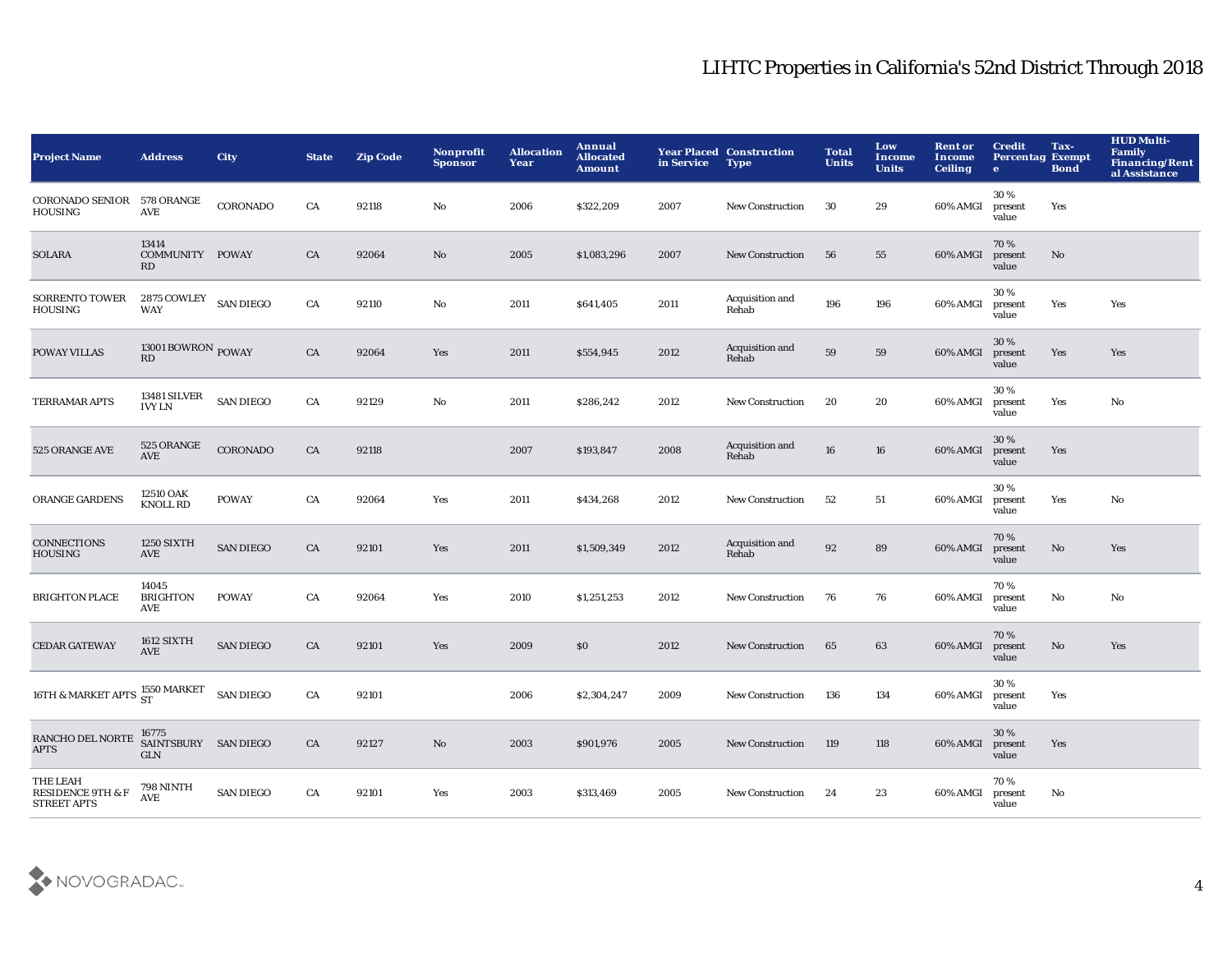| <b>Project Name</b>                                            | <b>Address</b>                             | <b>City</b>      | <b>State</b> | <b>Zip Code</b> | Nonprofit<br><b>Sponsor</b> | <b>Allocation</b><br>Year | Annual<br><b>Allocated</b><br><b>Amount</b> | in Service | <b>Year Placed Construction</b><br><b>Type</b> | <b>Total</b><br><b>Units</b> | Low<br>Income<br><b>Units</b> | <b>Rent or</b><br>Income<br><b>Ceiling</b> | <b>Credit</b><br><b>Percentag Exempt</b><br>$\bullet$ | Tax-<br><b>Bond</b> | <b>HUD Multi-</b><br><b>Family</b><br><b>Financing/Rent</b><br>al Assistance |
|----------------------------------------------------------------|--------------------------------------------|------------------|--------------|-----------------|-----------------------------|---------------------------|---------------------------------------------|------------|------------------------------------------------|------------------------------|-------------------------------|--------------------------------------------|-------------------------------------------------------|---------------------|------------------------------------------------------------------------------|
| <b>CORONADO SENIOR</b><br><b>HOUSING</b>                       | 578 ORANGE<br>AVE                          | <b>CORONADO</b>  | CA           | 92118           | No                          | 2006                      | \$322,209                                   | 2007       | <b>New Construction</b>                        | 30                           | 29                            | 60% AMGI                                   | 30%<br>present<br>value                               | Yes                 |                                                                              |
| <b>SOLARA</b>                                                  | 13414<br>COMMUNITY POWAY<br>RD             |                  | CA           | 92064           | No                          | 2005                      | \$1,083,296                                 | 2007       | <b>New Construction</b>                        | 56                           | 55                            | 60% AMGI                                   | 70%<br>present<br>value                               | No                  |                                                                              |
| SORRENTO TOWER<br><b>HOUSING</b>                               | $2875$ COWLEY $\;$ SAN DIEGO<br><b>WAY</b> |                  | CA           | 92110           | No                          | 2011                      | \$641,405                                   | 2011       | Acquisition and<br>Rehab                       | 196                          | 196                           | 60% AMGI                                   | 30%<br>present<br>value                               | Yes                 | Yes                                                                          |
| <b>POWAY VILLAS</b>                                            | 13001 BOWRON $_{\rm{POWAY}}$<br>RD         |                  | ${\rm CA}$   | 92064           | Yes                         | 2011                      | \$554,945                                   | 2012       | Acquisition and<br>Rehab                       | 59                           | 59                            | 60% AMGI                                   | 30%<br>present<br>value                               | Yes                 | Yes                                                                          |
| TERRAMAR APTS                                                  | <b>13481 SILVER</b><br><b>IVY LN</b>       | <b>SAN DIEGO</b> | CA           | 92129           | No                          | 2011                      | \$286,242                                   | 2012       | <b>New Construction</b>                        | 20                           | 20                            | 60% AMGI                                   | 30%<br>present<br>value                               | Yes                 | No                                                                           |
| 525 ORANGE AVE                                                 | 525 ORANGE<br>AVE                          | CORONADO         | CA           | 92118           |                             | 2007                      | \$193,847                                   | 2008       | Acquisition and<br>Rehab                       | 16                           | ${\bf 16}$                    | 60% AMGI                                   | 30%<br>present<br>value                               | Yes                 |                                                                              |
| ORANGE GARDENS                                                 | 12510 OAK<br><b>KNOLL RD</b>               | <b>POWAY</b>     | ${\rm CA}$   | 92064           | Yes                         | 2011                      | \$434,268                                   | 2012       | <b>New Construction</b>                        | 52                           | 51                            | 60% AMGI                                   | 30%<br>present<br>value                               | Yes                 | No                                                                           |
| <b>CONNECTIONS</b><br>HOUSING                                  | 1250 SIXTH<br>AVE                          | <b>SAN DIEGO</b> | CA           | 92101           | Yes                         | 2011                      | \$1,509,349                                 | 2012       | Acquisition and<br>Rehab                       | 92                           | 89                            | 60% AMGI                                   | 70%<br>present<br>value                               | $\mathbf{No}$       | Yes                                                                          |
| <b>BRIGHTON PLACE</b>                                          | 14045<br><b>BRIGHTON</b><br>AVE            | <b>POWAY</b>     | CA           | 92064           | Yes                         | 2010                      | \$1,251,253                                 | 2012       | <b>New Construction</b>                        | 76                           | 76                            | 60% AMGI                                   | 70%<br>present<br>value                               | $\mathbf {No}$      | $\mathbf{N}\mathbf{o}$                                                       |
| <b>CEDAR GATEWAY</b>                                           | 1612 SIXTH<br>AVE                          | <b>SAN DIEGO</b> | CA           | 92101           | Yes                         | 2009                      | \$0                                         | 2012       | <b>New Construction</b>                        | 65                           | 63                            | 60% AMGI                                   | 70%<br>present<br>value                               | $\rm\thinspace No$  | Yes                                                                          |
| 16TH & MARKET APTS 1550 MARKET                                 |                                            | <b>SAN DIEGO</b> | CA           | 92101           |                             | 2006                      | \$2,304,247                                 | 2009       | <b>New Construction</b>                        | 136                          | 134                           | 60% AMGI                                   | 30%<br>present<br>value                               | Yes                 |                                                                              |
| RANCHO DEL NORTE<br><b>APTS</b>                                | 16775<br>SAINTSBURY SAN DIEGO<br>GLN       |                  | CA           | 92127           | No                          | 2003                      | \$901,976                                   | 2005       | <b>New Construction</b>                        | 119                          | 118                           | 60% AMGI                                   | 30%<br>present<br>value                               | Yes                 |                                                                              |
| THE LEAH<br><b>RESIDENCE 9TH &amp; F</b><br><b>STREET APTS</b> | 798 NINTH<br><b>AVE</b>                    | <b>SAN DIEGO</b> | CA           | 92101           | Yes                         | 2003                      | \$313,469                                   | 2005       | <b>New Construction</b>                        | 24                           | 23                            | 60% AMGI                                   | 70%<br>present<br>value                               | No                  |                                                                              |

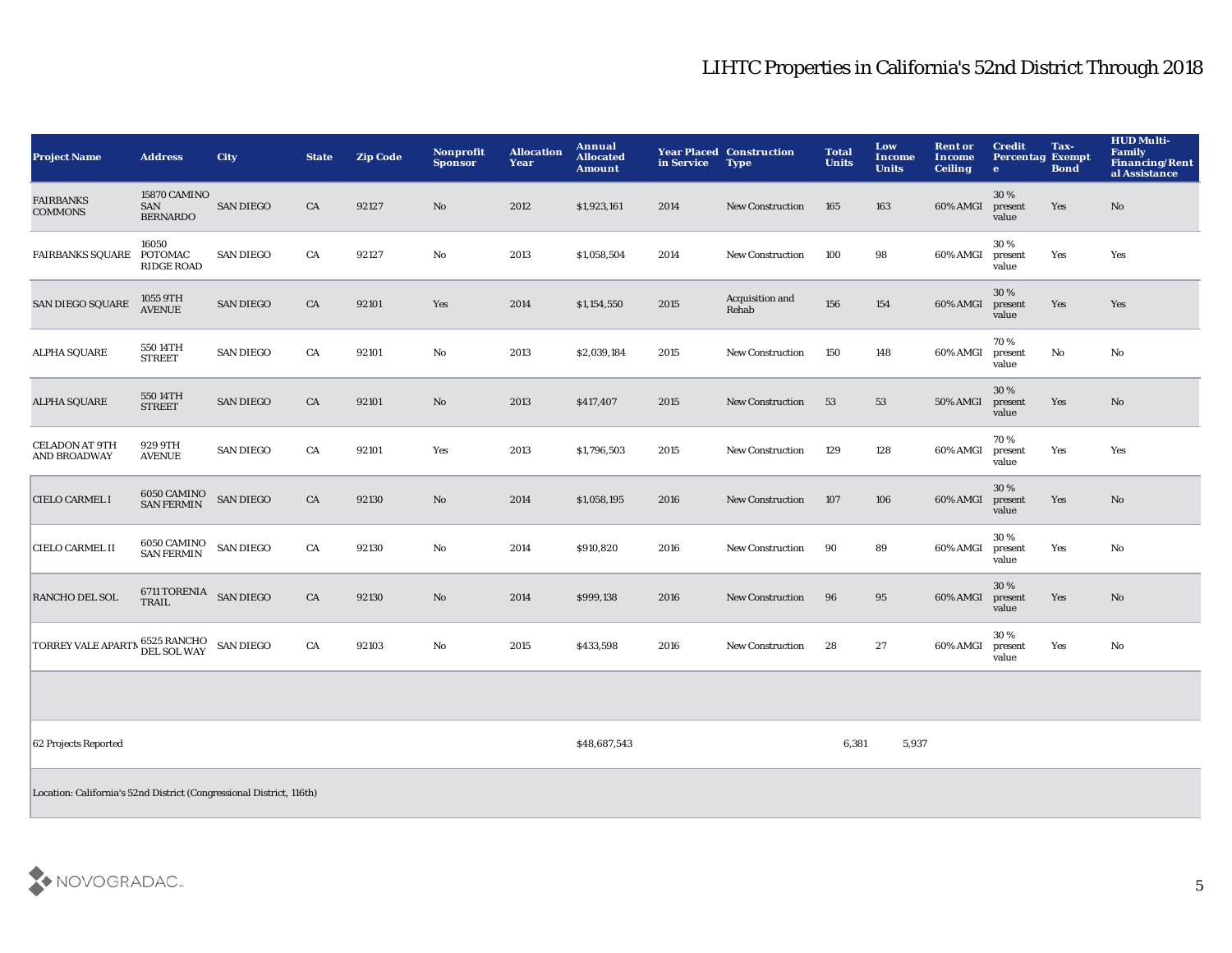| <b>Project Name</b>                                                  | <b>Address</b>                               | <b>City</b>      | <b>State</b> | <b>Zip Code</b> | Nonprofit<br><b>Sponsor</b> | <b>Allocation</b><br>Year | <b>Annual</b><br><b>Allocated</b><br><b>Amount</b> | in Service | <b>Year Placed Construction</b><br><b>Type</b> | <b>Total</b><br><b>Units</b> | Low<br><b>Income</b><br><b>Units</b> | <b>Rent or</b><br>Income<br><b>Ceiling</b> | <b>Credit</b><br><b>Percentag Exempt</b><br>$\mathbf{e}$ | Tax-<br><b>Bond</b> | <b>HUD Multi-</b><br>Family<br><b>Financing/Rent</b><br>al Assistance |
|----------------------------------------------------------------------|----------------------------------------------|------------------|--------------|-----------------|-----------------------------|---------------------------|----------------------------------------------------|------------|------------------------------------------------|------------------------------|--------------------------------------|--------------------------------------------|----------------------------------------------------------|---------------------|-----------------------------------------------------------------------|
| <b>FAIRBANKS</b><br><b>COMMONS</b>                                   | 15870 CAMINO<br>SAN<br><b>BERNARDO</b>       | <b>SAN DIEGO</b> | CA           | 92127           | No                          | 2012                      | \$1,923,161                                        | 2014       | <b>New Construction</b>                        | 165                          | 163                                  | 60% AMGI                                   | 30%<br>present<br>value                                  | Yes                 | $\mathbf{N}\mathbf{o}$                                                |
| <b>FAIRBANKS SQUARE</b>                                              | 16050<br><b>POTOMAC</b><br><b>RIDGE ROAD</b> | <b>SAN DIEGO</b> | CA           | 92127           | No                          | 2013                      | \$1,058,504                                        | 2014       | <b>New Construction</b>                        | 100                          | 98                                   | 60% AMGI                                   | 30%<br>present<br>value                                  | Yes                 | Yes                                                                   |
| <b>SAN DIEGO SQUARE</b>                                              | 1055 9TH<br><b>AVENUE</b>                    | <b>SAN DIEGO</b> | CA           | 92101           | Yes                         | 2014                      | \$1,154,550                                        | 2015       | Acquisition and<br>Rehab                       | 156                          | 154                                  | 60% AMGI                                   | 30%<br>present<br>value                                  | Yes                 | Yes                                                                   |
| <b>ALPHA SQUARE</b>                                                  | 550 14TH<br><b>STREET</b>                    | <b>SAN DIEGO</b> | CA           | 92101           | No                          | 2013                      | \$2,039,184                                        | 2015       | <b>New Construction</b>                        | 150                          | 148                                  | 60% AMGI                                   | 70%<br>present<br>value                                  | $\mathbf {No}$      | No                                                                    |
| <b>ALPHA SQUARE</b>                                                  | 550 14TH<br><b>STREET</b>                    | <b>SAN DIEGO</b> | CA           | 92101           | No.                         | 2013                      | \$417,407                                          | 2015       | <b>New Construction</b>                        | 53                           | 53                                   | 50% AMGI                                   | 30%<br>present<br>value                                  | Yes                 | No                                                                    |
| <b>CELADON AT 9TH</b><br><b>AND BROADWAY</b>                         | 929 9TH<br><b>AVENUE</b>                     | <b>SAN DIEGO</b> | CA           | 92101           | Yes                         | 2013                      | \$1,796,503                                        | 2015       | <b>New Construction</b>                        | 129                          | 128                                  | 60% AMGI                                   | 70%<br>present<br>value                                  | Yes                 | Yes                                                                   |
| <b>CIELO CARMEL I</b>                                                | 6050 CAMINO<br><b>SAN FERMIN</b>             | <b>SAN DIEGO</b> | CA           | 92130           | No                          | 2014                      | \$1,058,195                                        | 2016       | <b>New Construction</b>                        | 107                          | 106                                  | 60% AMGI                                   | 30%<br>present<br>value                                  | Yes                 | $\mathbf{N}\mathbf{o}$                                                |
| <b>CIELO CARMEL II</b>                                               | 6050 CAMINO<br><b>SAN FERMIN</b>             | <b>SAN DIEGO</b> | CA           | 92130           | No                          | 2014                      | \$910,820                                          | 2016       | <b>New Construction</b>                        | 90                           | 89                                   | 60% AMGI                                   | 30%<br>present<br>value                                  | Yes                 | No                                                                    |
| RANCHO DEL SOL                                                       | 6711 TORENIA SAN DIEGO<br>TRAIL              |                  | CA           | 92130           | No                          | 2014                      | \$999,138                                          | 2016       | New Construction                               | 96                           | 95                                   | 60% AMGI                                   | 30 %<br>present<br>value                                 | Yes                 | $\mathbf{N}\mathbf{o}$                                                |
| TORREY VALE APARTM                                                   | 6525 RANCHO<br>DEL SOL WAY                   | <b>SAN DIEGO</b> | ${\rm CA}$   | 92103           | No                          | 2015                      | \$433,598                                          | 2016       | New Construction                               | 28                           | 27                                   | 60% AMGI                                   | 30%<br>present<br>value                                  | Yes                 | No                                                                    |
|                                                                      |                                              |                  |              |                 |                             |                           |                                                    |            |                                                |                              |                                      |                                            |                                                          |                     |                                                                       |
| 62 Projects Reported                                                 |                                              |                  |              |                 |                             |                           | \$48,687,543                                       |            |                                                | 6,381                        | 5,937                                |                                            |                                                          |                     |                                                                       |
| Location: California's 52nd District (Congressional District, 116th) |                                              |                  |              |                 |                             |                           |                                                    |            |                                                |                              |                                      |                                            |                                                          |                     |                                                                       |